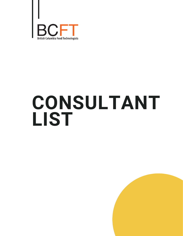

# **CONSULTANT LIST**

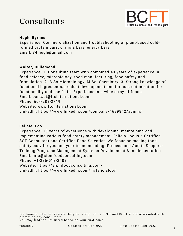## **Consultants**



#### **Hugh, Byrnes**

Experience: Commercialization and troubleshooting of plant-based coldformed protein bars, granola bars, energy bars Email: 84.hugh@gmail.com

#### **Walter, Dullemond**

Experience: 1. Consulting team with combined 40 years of experience in food science, microbiology, food manufacturing, food safety and formulation. 2. B.Sc Microbiology, M.Sc. Chemistry. 3. Strong knowledge of functional ingredients, product development and formula optimization for functionality and shelf-life. Experience in a wide array of foods. Email: contact@ftcinternational.com Phone: 604-288-2719 Website: www.ftcinternational.com LinkedIn: https://www.linkedin.com/company/1689842/admin/

#### **Felicia, Loo**

Experience: 10 years of experience with developing, maintaining and implementing various food safety management. Felicia Loo is a Certified SQF Consultant and Certified Food Scientist. We focus on making food safety easy for you and your team including -Process and Audits Support - Training Programs-Management Systems Development & Implementation Email: info@sfpmfoodconsulting.com Phone: +1-236-513-2488 Website: https://sfpmfoodconsulting.com/ LinkedIn: https://www.linkedin.com/in/felicialoo/

Disclaimers: This list is a courtesy list compiled by BCFT and BCFT is not associated with promoting any consultants.

You may find the list listed based on your first name.